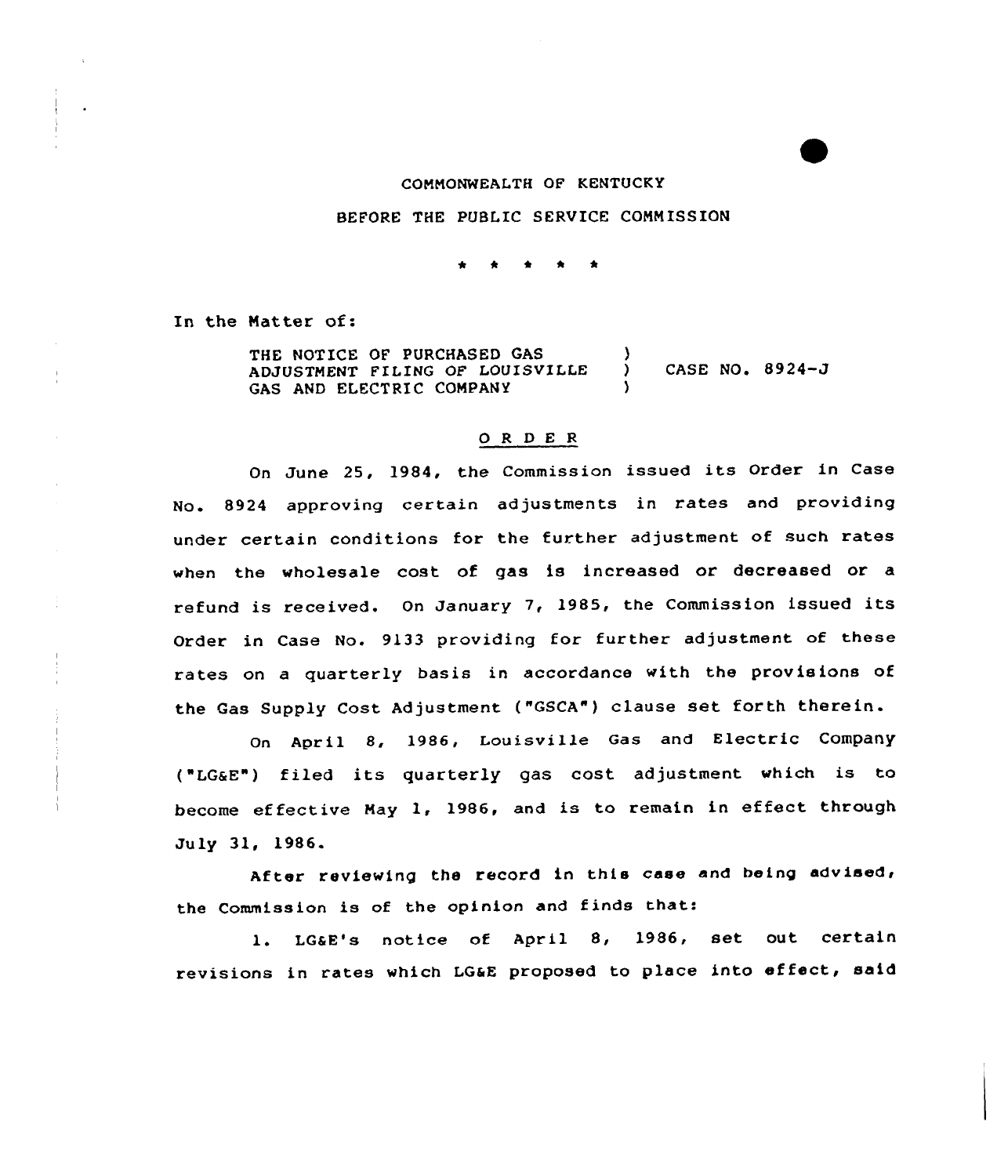### COMMONWEALTH OF KENTUCKY

#### BEFORE THE PUBLIC SERVICE COMMISSION

In the Matter of:

THE NOTICE OF PURCHASED GAS ADJUSTMENT FILING OF LOUISVILLE GAS AND ELECTRIC COMPANY  $\lambda$ ) CASE NO. 8924-J )

## 0 <sup>R</sup> <sup>D</sup> E <sup>R</sup>

On June 25, 1984, the Commission issued its Order in Case No. 8924 approving certain adjustments in rates and providing under certain conditions for the further adjustment of such rates when the wholesale cost of gas is increased or decreased or a refund is received. On January 7, 1985, the Commission issued its Order in Case No. 9133 providing for further adjustment of these rates on a quarterly basis in accordance with the provisions of the Gas Supply Cost Adjustment ("GSCA") clause set forth therein.

On April 8, 1986, Louisville Gas and Electric Company ("LGaE") filed its quarterly gas cost adjustment which is to become effective May 1, 1986, and is to remain in effect through July 31, 1986.

After reviewing the record in this case and being advised, the Commission is of the opinion and finds that:

1. LG&E's notice of April 8, 1986, set out certain revisions in rates which LGaE proposed to place into effeet, said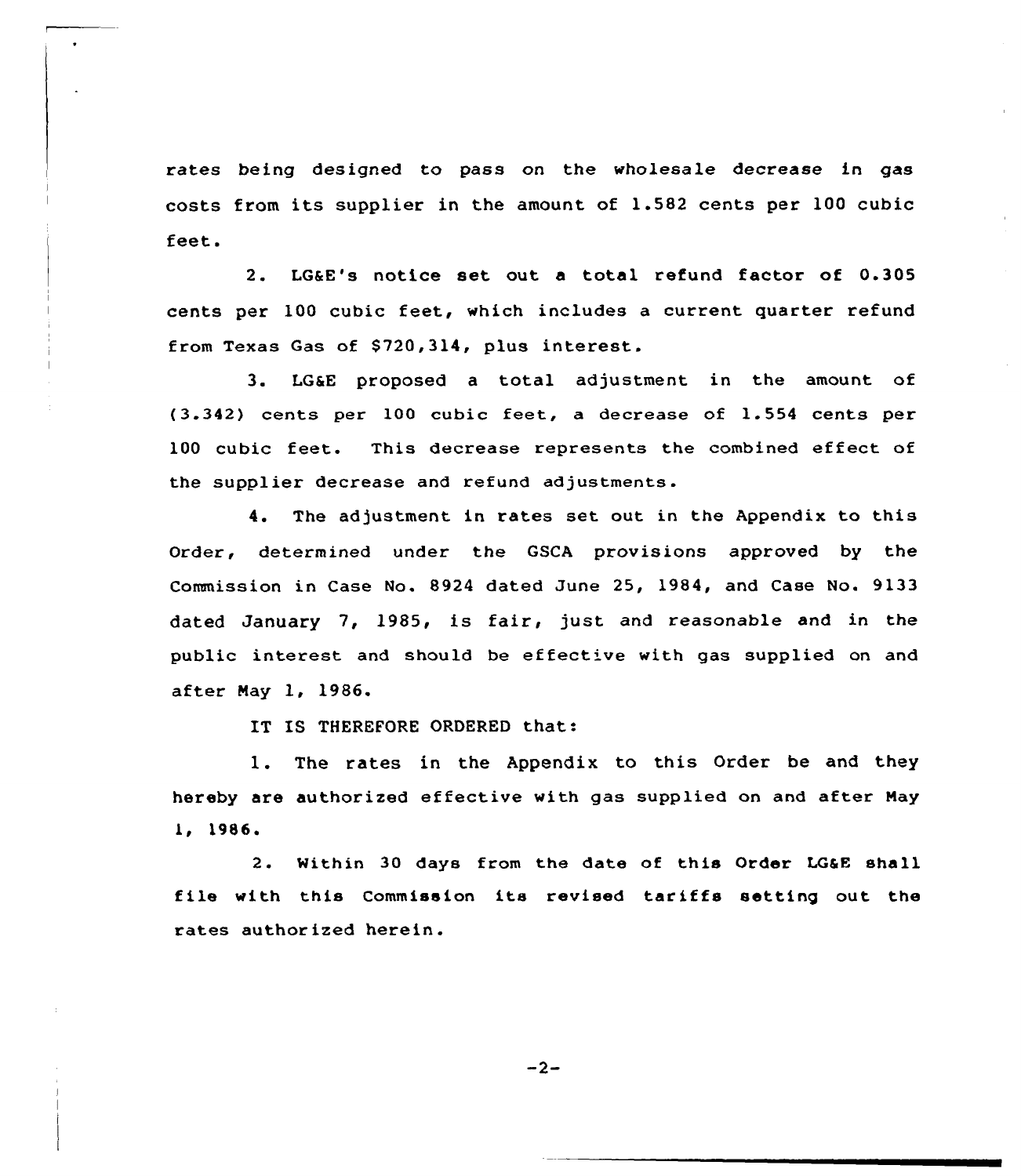rates being designed to pass on the wholesale decrease in gas costs from its supplier in the amount of 1.582 cents per 100 cubic feet.

2. LG&E's notice set out a total refund factor of 0.305 cents per 100 cubic feet, which includes a current quarter refund from Texas Gas of 8720,314, plus interest.

3. LG&E proposed <sup>a</sup> total adjustment in the amount of (3.342) cents per 100 cubic feet, a decrease of 1.554 cents per 100 cubic feet. This decrease represents the combined effect of the supplier decrease and refund adjustments.

4. The adjustment in rates set out in the Appendix to this Order, determined under the GSCA provisions approved by the Commission in Case No. 8924 dated June 25, 1984, and Case No. 9133 dated January 7, 1985, is fair, just and reasonable and in the public interest and should be effective with gas supplied on and after Nay 1, 1986.

IT IS THEREFORE ORDERED that:

1. The rates in the Appendix to this Order be and they hereby are authorized effective with gas supplied on and after Nay 1, <sup>1986</sup>'.

Within 30 days from the date of this Order LG&E shall file with this Commission its revised tariffs setting out the rates authorized herein.

 $-2-$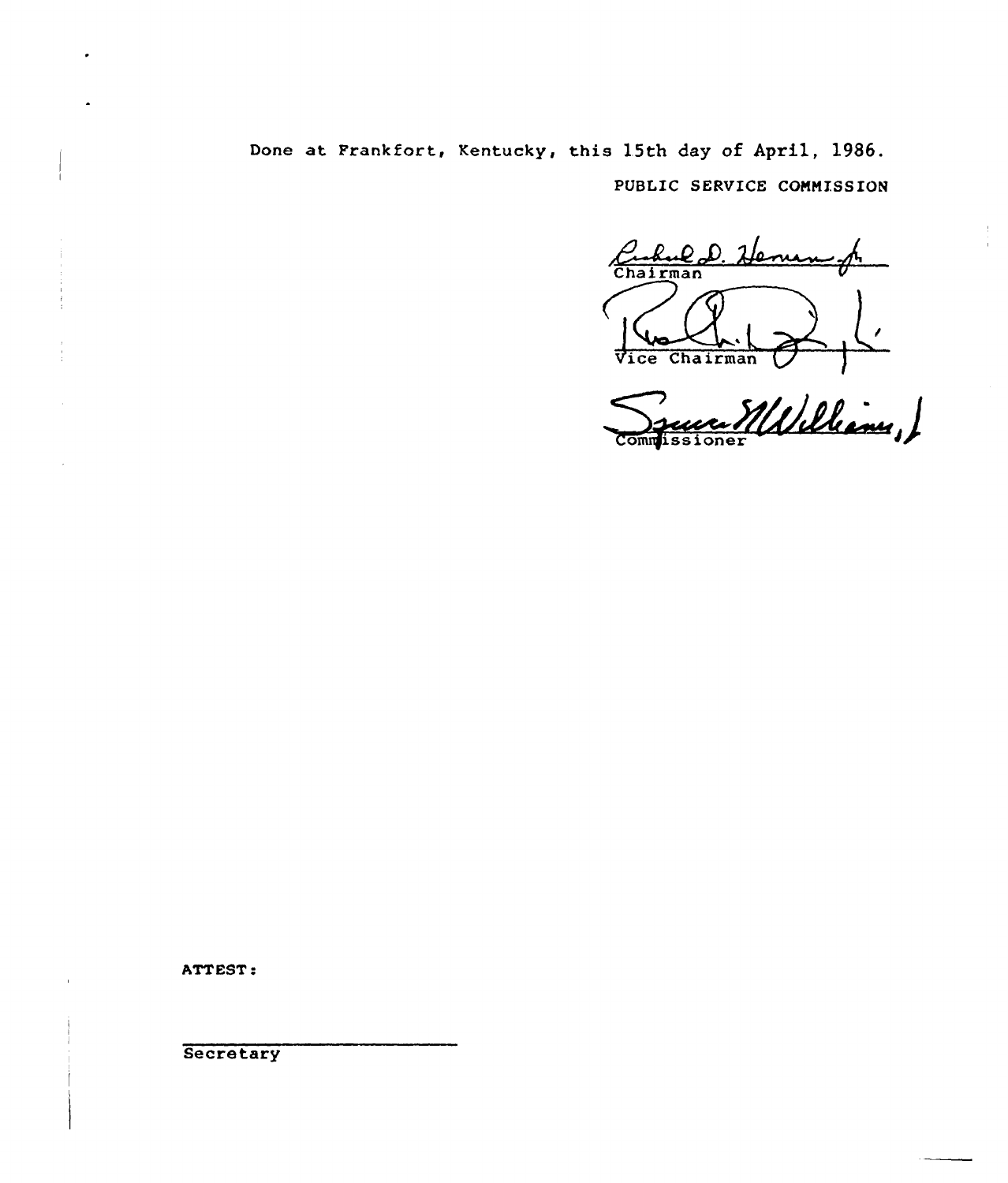Done at Frankfort, Kentucky, this 15th day of April, 1986. PUBLIC SERVICE CONNISSION

hul D. Henen Chairman ú. Vice Chairman

run Millelian,

ATT EST:

**Secretary**